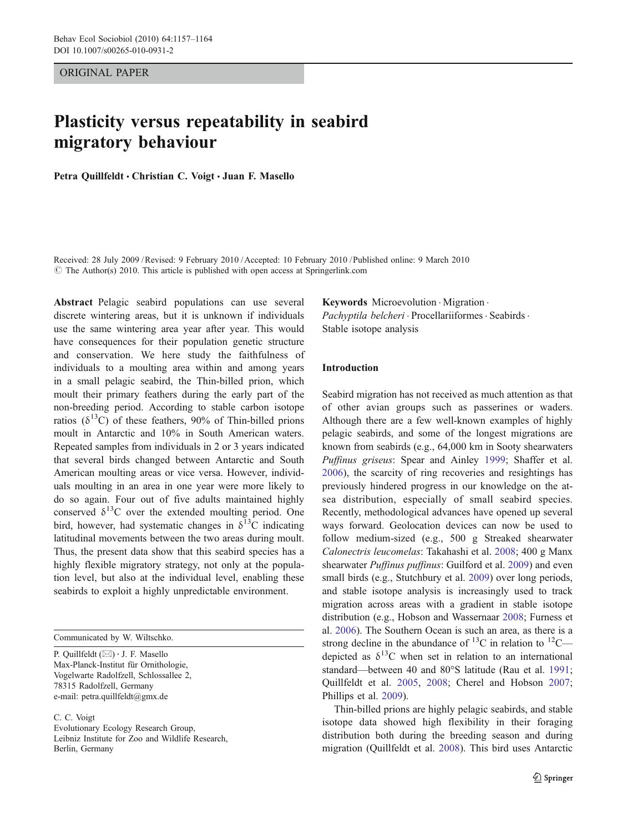ORIGINAL PAPER

# Plasticity versus repeatability in seabird migratory behaviour

Petra Quillfeldt · Christian C. Voigt · Juan F. Masello

Received: 28 July 2009 /Revised: 9 February 2010 /Accepted: 10 February 2010 / Published online: 9 March 2010 © The Author(s) 2010. This article is published with open access at Springerlink.com

Abstract Pelagic seabird populations can use several discrete wintering areas, but it is unknown if individuals use the same wintering area year after year. This would have consequences for their population genetic structure and conservation. We here study the faithfulness of individuals to a moulting area within and among years in a small pelagic seabird, the Thin-billed prion, which moult their primary feathers during the early part of the non-breeding period. According to stable carbon isotope ratios ( $\delta^{13}$ C) of these feathers, 90% of Thin-billed prions moult in Antarctic and 10% in South American waters. Repeated samples from individuals in 2 or 3 years indicated that several birds changed between Antarctic and South American moulting areas or vice versa. However, individuals moulting in an area in one year were more likely to do so again. Four out of five adults maintained highly conserved  $\delta^{13}$ C over the extended moulting period. One bird, however, had systematic changes in  $\delta^{13}$ C indicating latitudinal movements between the two areas during moult. Thus, the present data show that this seabird species has a highly flexible migratory strategy, not only at the population level, but also at the individual level, enabling these seabirds to exploit a highly unpredictable environment.

P. Quillfeldt  $(\boxtimes) \cdot$  J. F. Masello Max-Planck-Institut für Ornithologie, Vogelwarte Radolfzell, Schlossallee 2, 78315 Radolfzell, Germany e-mail: petra.quillfeldt@gmx.de

C. C. Voigt Evolutionary Ecology Research Group, Leibniz Institute for Zoo and Wildlife Research, Berlin, Germany

Keywords Microevolution . Migration . Pachyptila belcheri · Procellariiformes · Seabirds · Stable isotope analysis

### Introduction

Seabird migration has not received as much attention as that of other avian groups such as passerines or waders. Although there are a few well-known examples of highly pelagic seabirds, and some of the longest migrations are known from seabirds (e.g., 64,000 km in Sooty shearwaters Puffinus griseus: Spear and Ainley [1999](#page-7-0); Shaffer et al. [2006](#page-7-0)), the scarcity of ring recoveries and resightings has previously hindered progress in our knowledge on the atsea distribution, especially of small seabird species. Recently, methodological advances have opened up several ways forward. Geolocation devices can now be used to follow medium-sized (e.g., 500 g Streaked shearwater Calonectris leucomelas: Takahashi et al. [2008](#page-7-0); 400 g Manx shearwater Puffinus puffinus: Guilford et al. [2009\)](#page-6-0) and even small birds (e.g., Stutchbury et al. [2009](#page-7-0)) over long periods, and stable isotope analysis is increasingly used to track migration across areas with a gradient in stable isotope distribution (e.g., Hobson and Wassernaar [2008;](#page-7-0) Furness et al. [2006\)](#page-6-0). The Southern Ocean is such an area, as there is a strong decline in the abundance of <sup>13</sup>C in relation to <sup>12</sup>C depicted as  $\delta^{13}$ C when set in relation to an international standard—between 40 and 80°S latitude (Rau et al. [1991;](#page-7-0) Quillfeldt et al. [2005](#page-7-0), [2008](#page-7-0); Cherel and Hobson [2007;](#page-6-0) Phillips et al. [2009\)](#page-7-0).

Thin-billed prions are highly pelagic seabirds, and stable isotope data showed high flexibility in their foraging distribution both during the breeding season and during migration (Quillfeldt et al. [2008\)](#page-7-0). This bird uses Antarctic

Communicated by W. Wiltschko.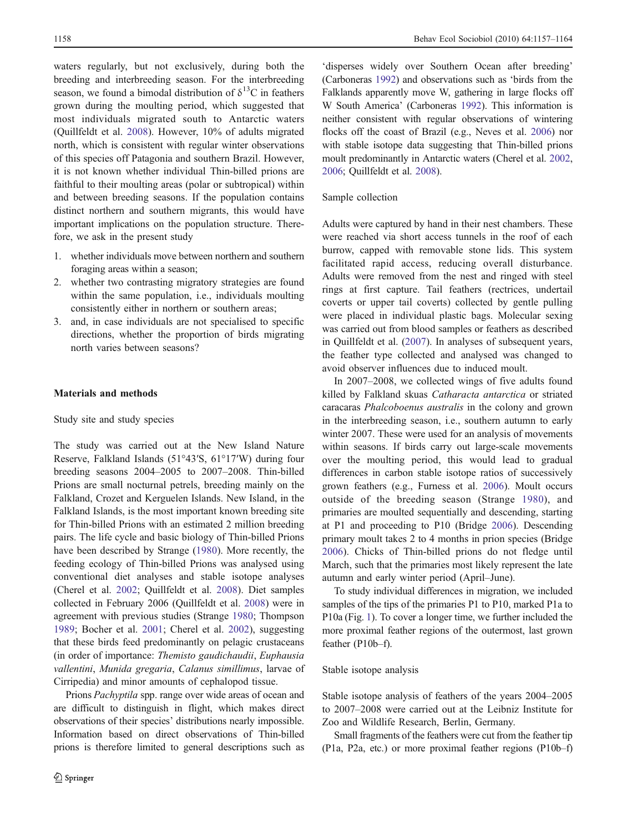waters regularly, but not exclusively, during both the breeding and interbreeding season. For the interbreeding season, we found a bimodal distribution of  $\delta^{13}$ C in feathers grown during the moulting period, which suggested that most individuals migrated south to Antarctic waters (Quillfeldt et al. [2008\)](#page-7-0). However, 10% of adults migrated north, which is consistent with regular winter observations of this species off Patagonia and southern Brazil. However, it is not known whether individual Thin-billed prions are faithful to their moulting areas (polar or subtropical) within and between breeding seasons. If the population contains distinct northern and southern migrants, this would have important implications on the population structure. Therefore, we ask in the present study

- 1. whether individuals move between northern and southern foraging areas within a season;
- 2. whether two contrasting migratory strategies are found within the same population, i.e., individuals moulting consistently either in northern or southern areas;
- 3. and, in case individuals are not specialised to specific directions, whether the proportion of birds migrating north varies between seasons?

#### Materials and methods

Study site and study species

The study was carried out at the New Island Nature Reserve, Falkland Islands (51°43′S, 61°17′W) during four breeding seasons 2004–2005 to 2007–2008. Thin-billed Prions are small nocturnal petrels, breeding mainly on the Falkland, Crozet and Kerguelen Islands. New Island, in the Falkland Islands, is the most important known breeding site for Thin-billed Prions with an estimated 2 million breeding pairs. The life cycle and basic biology of Thin-billed Prions have been described by Strange [\(1980](#page-7-0)). More recently, the feeding ecology of Thin-billed Prions was analysed using conventional diet analyses and stable isotope analyses (Cherel et al. [2002](#page-6-0); Quillfeldt et al. [2008\)](#page-7-0). Diet samples collected in February 2006 (Quillfeldt et al. [2008](#page-7-0)) were in agreement with previous studies (Strange [1980;](#page-7-0) Thompson [1989;](#page-7-0) Bocher et al. [2001](#page-6-0); Cherel et al. [2002\)](#page-6-0), suggesting that these birds feed predominantly on pelagic crustaceans (in order of importance: Themisto gaudichaudii, Euphausia vallentini, Munida gregaria, Calanus simillimus, larvae of Cirripedia) and minor amounts of cephalopod tissue.

Prions Pachyptila spp. range over wide areas of ocean and are difficult to distinguish in flight, which makes direct observations of their species' distributions nearly impossible. Information based on direct observations of Thin-billed prions is therefore limited to general descriptions such as

'disperses widely over Southern Ocean after breeding' (Carboneras [1992](#page-6-0)) and observations such as 'birds from the Falklands apparently move W, gathering in large flocks off W South America' (Carboneras [1992](#page-6-0)). This information is neither consistent with regular observations of wintering flocks off the coast of Brazil (e.g., Neves et al. [2006](#page-7-0)) nor with stable isotope data suggesting that Thin-billed prions moult predominantly in Antarctic waters (Cherel et al. [2002,](#page-6-0) [2006;](#page-6-0) Quillfeldt et al. [2008](#page-7-0)).

#### Sample collection

Adults were captured by hand in their nest chambers. These were reached via short access tunnels in the roof of each burrow, capped with removable stone lids. This system facilitated rapid access, reducing overall disturbance. Adults were removed from the nest and ringed with steel rings at first capture. Tail feathers (rectrices, undertail coverts or upper tail coverts) collected by gentle pulling were placed in individual plastic bags. Molecular sexing was carried out from blood samples or feathers as described in Quillfeldt et al. ([2007\)](#page-7-0). In analyses of subsequent years, the feather type collected and analysed was changed to avoid observer influences due to induced moult.

In 2007–2008, we collected wings of five adults found killed by Falkland skuas Catharacta antarctica or striated caracaras Phalcoboenus australis in the colony and grown in the interbreeding season, i.e., southern autumn to early winter 2007. These were used for an analysis of movements within seasons. If birds carry out large-scale movements over the moulting period, this would lead to gradual differences in carbon stable isotope ratios of successively grown feathers (e.g., Furness et al. [2006\)](#page-6-0). Moult occurs outside of the breeding season (Strange [1980\)](#page-7-0), and primaries are moulted sequentially and descending, starting at P1 and proceeding to P10 (Bridge [2006](#page-6-0)). Descending primary moult takes 2 to 4 months in prion species (Bridge [2006](#page-6-0)). Chicks of Thin-billed prions do not fledge until March, such that the primaries most likely represent the late autumn and early winter period (April–June).

To study individual differences in migration, we included samples of the tips of the primaries P1 to P10, marked P1a to P10a (Fig. [1\)](#page-2-0). To cover a longer time, we further included the more proximal feather regions of the outermost, last grown feather (P10b–f).

#### Stable isotope analysis

Stable isotope analysis of feathers of the years 2004–2005 to 2007–2008 were carried out at the Leibniz Institute for Zoo and Wildlife Research, Berlin, Germany.

Small fragments of the feathers were cut from the feather tip (P1a, P2a, etc.) or more proximal feather regions (P10b–f)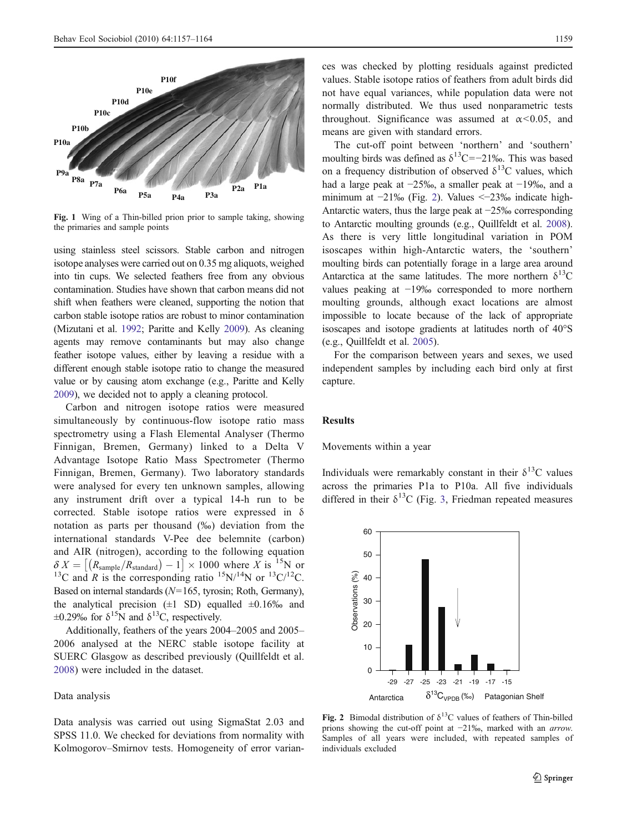<span id="page-2-0"></span>

Fig. 1 Wing of a Thin-billed prion prior to sample taking, showing the primaries and sample points

using stainless steel scissors. Stable carbon and nitrogen isotope analyses were carried out on 0.35 mg aliquots, weighed into tin cups. We selected feathers free from any obvious contamination. Studies have shown that carbon means did not shift when feathers were cleaned, supporting the notion that carbon stable isotope ratios are robust to minor contamination (Mizutani et al. [1992](#page-7-0); Paritte and Kelly [2009](#page-7-0)). As cleaning agents may remove contaminants but may also change feather isotope values, either by leaving a residue with a different enough stable isotope ratio to change the measured value or by causing atom exchange (e.g., Paritte and Kelly [2009](#page-7-0)), we decided not to apply a cleaning protocol.

Carbon and nitrogen isotope ratios were measured simultaneously by continuous-flow isotope ratio mass spectrometry using a Flash Elemental Analyser (Thermo Finnigan, Bremen, Germany) linked to a Delta V Advantage Isotope Ratio Mass Spectrometer (Thermo Finnigan, Bremen, Germany). Two laboratory standards were analysed for every ten unknown samples, allowing any instrument drift over a typical 14-h run to be corrected. Stable isotope ratios were expressed in δ notation as parts per thousand (‰) deviation from the international standards V-Pee dee belemnite (carbon) and AIR (nitrogen), according to the following equation  $\delta X = \left[ \left( R_{\text{sample}} / R_{\text{standard}} \right) - 1 \right] \times 1000 \text{ where } X \text{ is } ^{15}N \text{ or }$ <sup>13</sup>C and R is the corresponding ratio <sup>15</sup>N/<sup>14</sup>N or <sup>13</sup>C/<sup>12</sup>C. Based on internal standards  $(N=165, \text{ tyrosin}; \text{Roth}, \text{Germany}),$ the analytical precision  $(\pm 1 \text{ SD})$  equalled  $\pm 0.16\%$  and  $\pm 0.29\%$  for  $\delta^{15}N$  and  $\delta^{13}C$ , respectively.

Additionally, feathers of the years 2004–2005 and 2005– 2006 analysed at the NERC stable isotope facility at SUERC Glasgow as described previously (Quillfeldt et al. [2008\)](#page-7-0) were included in the dataset.

#### Data analysis

Data analysis was carried out using SigmaStat 2.03 and SPSS 11.0. We checked for deviations from normality with Kolmogorov–Smirnov tests. Homogeneity of error variances was checked by plotting residuals against predicted values. Stable isotope ratios of feathers from adult birds did not have equal variances, while population data were not normally distributed. We thus used nonparametric tests throughout. Significance was assumed at  $\alpha$  < 0.05, and means are given with standard errors.

The cut-off point between 'northern' and 'southern' moulting birds was defined as  $\delta^{13}$ C=−21‰. This was based on a frequency distribution of observed  $\delta^{13}$ C values, which had a large peak at −25‰, a smaller peak at −19‰, and a minimum at −21‰ (Fig. 2). Values <−23‰ indicate high-Antarctic waters, thus the large peak at −25‰ corresponding to Antarctic moulting grounds (e.g., Quillfeldt et al. [2008\)](#page-7-0). As there is very little longitudinal variation in POM isoscapes within high-Antarctic waters, the 'southern' moulting birds can potentially forage in a large area around Antarctica at the same latitudes. The more northern  $\delta^{13}$ C values peaking at −19‰ corresponded to more northern moulting grounds, although exact locations are almost impossible to locate because of the lack of appropriate isoscapes and isotope gradients at latitudes north of 40°S (e.g., Quillfeldt et al. [2005\)](#page-7-0).

For the comparison between years and sexes, we used independent samples by including each bird only at first capture.

# Results

#### Movements within a year

Individuals were remarkably constant in their  $\delta^{13}$ C values across the primaries P1a to P10a. All five individuals differed in their  $\delta^{13}$  $\delta^{13}$  $\delta^{13}$ C (Fig. 3, Friedman repeated measures



Fig. 2 Bimodal distribution of  $\delta^{13}$ C values of feathers of Thin-billed prions showing the cut-off point at −21‰, marked with an arrow. Samples of all years were included, with repeated samples of individuals excluded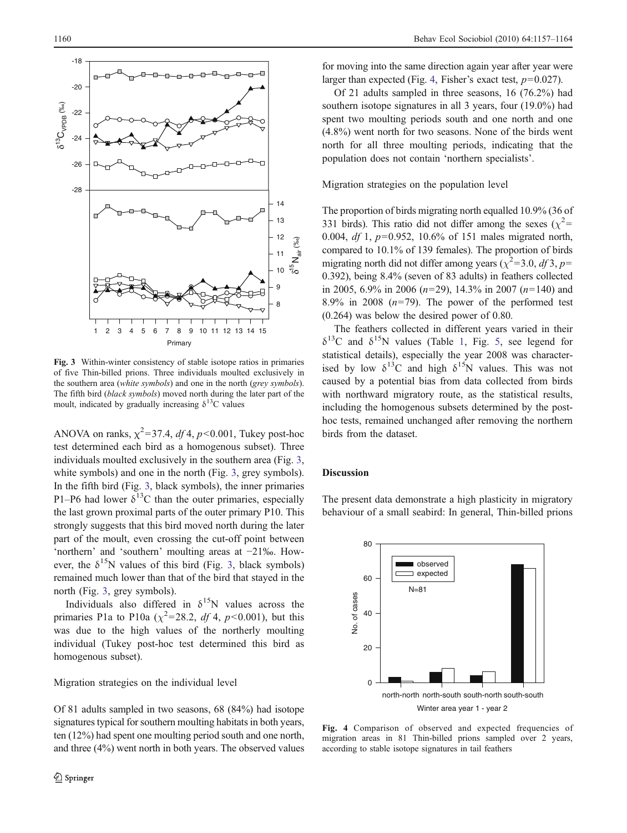<span id="page-3-0"></span>

Fig. 3 Within-winter consistency of stable isotope ratios in primaries of five Thin-billed prions. Three individuals moulted exclusively in the southern area (white symbols) and one in the north (grey symbols). The fifth bird (black symbols) moved north during the later part of the moult, indicated by gradually increasing  $\delta^{13}$ C values

ANOVA on ranks,  $\chi^2$ =37.4, df 4, p<0.001, Tukey post-hoc test determined each bird as a homogenous subset). Three individuals moulted exclusively in the southern area (Fig. 3, white symbols) and one in the north (Fig. 3, grey symbols). In the fifth bird (Fig. 3, black symbols), the inner primaries P1–P6 had lower  $\delta^{13}$ C than the outer primaries, especially the last grown proximal parts of the outer primary P10. This strongly suggests that this bird moved north during the later part of the moult, even crossing the cut-off point between 'northern' and 'southern' moulting areas at −21‰. However, the  $\delta^{15}$ N values of this bird (Fig. 3, black symbols) remained much lower than that of the bird that stayed in the north (Fig. 3, grey symbols).

Individuals also differed in  $\delta^{15}N$  values across the primaries P1a to P10a ( $\chi^2$ =28.2, df 4, p<0.001), but this was due to the high values of the northerly moulting individual (Tukey post-hoc test determined this bird as homogenous subset).

Migration strategies on the individual level

Of 81 adults sampled in two seasons, 68 (84%) had isotope signatures typical for southern moulting habitats in both years, ten (12%) had spent one moulting period south and one north, and three (4%) went north in both years. The observed values

for moving into the same direction again year after year were larger than expected (Fig. 4, Fisher's exact test,  $p=0.027$ ).

Of 21 adults sampled in three seasons, 16 (76.2%) had southern isotope signatures in all 3 years, four (19.0%) had spent two moulting periods south and one north and one (4.8%) went north for two seasons. None of the birds went north for all three moulting periods, indicating that the population does not contain 'northern specialists'.

Migration strategies on the population level

The proportion of birds migrating north equalled 10.9% (36 of 331 birds). This ratio did not differ among the sexes ( $\chi^2$ = 0.004, *df* 1,  $p=0.952$ , 10.6% of 151 males migrated north, compared to 10.1% of 139 females). The proportion of birds migrating north did not differ among years ( $\chi^2$ =3.0, df 3, p= 0.392), being 8.4% (seven of 83 adults) in feathers collected in 2005, 6.9% in 2006 ( $n=29$ ), 14.3% in 2007 ( $n=140$ ) and 8.9% in 2008  $(n=79)$ . The power of the performed test (0.264) was below the desired power of 0.80.

The feathers collected in different years varied in their  $\delta^{13}$  $\delta^{13}$  $\delta^{13}$ C and  $\delta^{15}$  $\delta^{15}$  $\delta^{15}$ N values (Table 1, Fig. 5, see legend for statistical details), especially the year 2008 was characterised by low  $\delta^{13}$ C and high  $\delta^{15}$ N values. This was not caused by a potential bias from data collected from birds with northward migratory route, as the statistical results, including the homogenous subsets determined by the posthoc tests, remained unchanged after removing the northern birds from the dataset.

## **Discussion**

The present data demonstrate a high plasticity in migratory behaviour of a small seabird: In general, Thin-billed prions



Fig. 4 Comparison of observed and expected frequencies of migration areas in 81 Thin-billed prions sampled over 2 years, according to stable isotope signatures in tail feathers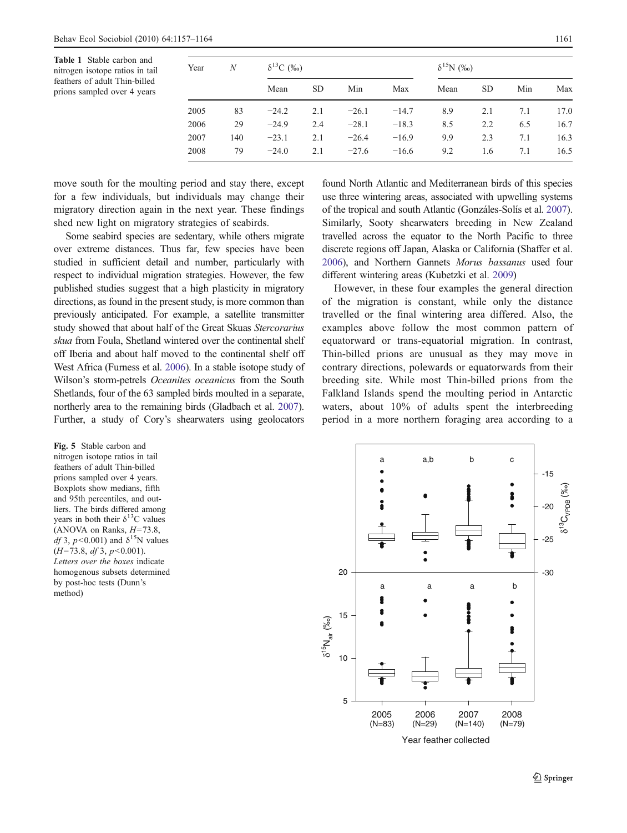<span id="page-4-0"></span>Table 1 Stable carbon and nitrogen isotope ratios in tail feathers of adult Thin-billed prions sampled over 4 years

| Year | $\boldsymbol{N}$ | $\delta^{13}C$ (%o) |           |         |         | $\delta^{15}N$ (%o) |           |     |      |
|------|------------------|---------------------|-----------|---------|---------|---------------------|-----------|-----|------|
|      |                  | Mean                | <b>SD</b> | Min     | Max     | Mean                | <b>SD</b> | Min | Max  |
| 2005 | 83               | $-24.2$             | 2.1       | $-26.1$ | $-14.7$ | 8.9                 | 2.1       | 7.1 | 17.0 |
| 2006 | 29               | $-24.9$             | 2.4       | $-28.1$ | $-18.3$ | 8.5                 | 2.2       | 6.5 | 16.7 |
| 2007 | 140              | $-23.1$             | 2.1       | $-26.4$ | $-16.9$ | 9.9                 | 2.3       | 7.1 | 16.3 |
| 2008 | 79               | $-24.0$             | 2.1       | $-27.6$ | $-16.6$ | 9.2                 | 1.6       | 7.1 | 16.5 |

move south for the moulting period and stay there, except for a few individuals, but individuals may change their migratory direction again in the next year. These findings shed new light on migratory strategies of seabirds.

Some seabird species are sedentary, while others migrate over extreme distances. Thus far, few species have been studied in sufficient detail and number, particularly with respect to individual migration strategies. However, the few published studies suggest that a high plasticity in migratory directions, as found in the present study, is more common than previously anticipated. For example, a satellite transmitter study showed that about half of the Great Skuas Stercorarius skua from Foula, Shetland wintered over the continental shelf off Iberia and about half moved to the continental shelf off West Africa (Furness et al. [2006](#page-6-0)). In a stable isotope study of Wilson's storm-petrels Oceanites oceanicus from the South Shetlands, four of the 63 sampled birds moulted in a separate, northerly area to the remaining birds (Gladbach et al. [2007\)](#page-6-0). Further, a study of Cory's shearwaters using geolocators

Fig. 5 Stable carbon and nitrogen isotope ratios in tail feathers of adult Thin-billed prions sampled over 4 years. Boxplots show medians, fifth and 95th percentiles, and outliers. The birds differed among vears in both their  $\delta^{13}$ C values (ANOVA on Ranks,  $H=73.8$ ,  $df$  3,  $p$ <0.001) and  $\delta^{15}$ N values  $(H=73.8, df3, p<0.001).$ Letters over the boxes indicate homogenous subsets determined by post-hoc tests (Dunn's method)

found North Atlantic and Mediterranean birds of this species use three wintering areas, associated with upwelling systems of the tropical and south Atlantic (Gonzáles-Solís et al. [2007\)](#page-6-0). Similarly, Sooty shearwaters breeding in New Zealand travelled across the equator to the North Pacific to three discrete regions off Japan, Alaska or California (Shaffer et al. [2006\)](#page-7-0), and Northern Gannets Morus bassanus used four different wintering areas (Kubetzki et al. [2009\)](#page-7-0)

However, in these four examples the general direction of the migration is constant, while only the distance travelled or the final wintering area differed. Also, the examples above follow the most common pattern of equatorward or trans-equatorial migration. In contrast, Thin-billed prions are unusual as they may move in contrary directions, polewards or equatorwards from their breeding site. While most Thin-billed prions from the Falkland Islands spend the moulting period in Antarctic waters, about 10% of adults spent the interbreeding period in a more northern foraging area according to a

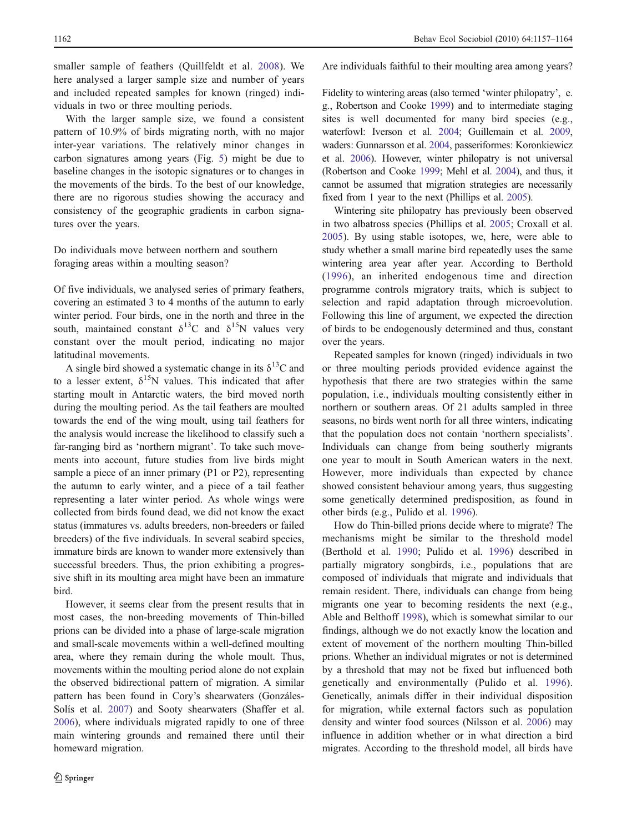smaller sample of feathers (Quillfeldt et al. [2008\)](#page-7-0). We here analysed a larger sample size and number of years and included repeated samples for known (ringed) individuals in two or three moulting periods.

With the larger sample size, we found a consistent pattern of 10.9% of birds migrating north, with no major inter-year variations. The relatively minor changes in carbon signatures among years (Fig. [5\)](#page-4-0) might be due to baseline changes in the isotopic signatures or to changes in the movements of the birds. To the best of our knowledge, there are no rigorous studies showing the accuracy and consistency of the geographic gradients in carbon signatures over the years.

Do individuals move between northern and southern foraging areas within a moulting season?

Of five individuals, we analysed series of primary feathers, covering an estimated 3 to 4 months of the autumn to early winter period. Four birds, one in the north and three in the south, maintained constant  $\delta^{13}$ C and  $\delta^{15}$ N values very constant over the moult period, indicating no major latitudinal movements.

A single bird showed a systematic change in its  $\delta^{13}$ C and to a lesser extent,  $\delta^{15}N$  values. This indicated that after starting moult in Antarctic waters, the bird moved north during the moulting period. As the tail feathers are moulted towards the end of the wing moult, using tail feathers for the analysis would increase the likelihood to classify such a far-ranging bird as 'northern migrant'. To take such movements into account, future studies from live birds might sample a piece of an inner primary (P1 or P2), representing the autumn to early winter, and a piece of a tail feather representing a later winter period. As whole wings were collected from birds found dead, we did not know the exact status (immatures vs. adults breeders, non-breeders or failed breeders) of the five individuals. In several seabird species, immature birds are known to wander more extensively than successful breeders. Thus, the prion exhibiting a progressive shift in its moulting area might have been an immature bird.

However, it seems clear from the present results that in most cases, the non-breeding movements of Thin-billed prions can be divided into a phase of large-scale migration and small-scale movements within a well-defined moulting area, where they remain during the whole moult. Thus, movements within the moulting period alone do not explain the observed bidirectional pattern of migration. A similar pattern has been found in Cory's shearwaters (Gonzáles-Solís et al. [2007\)](#page-6-0) and Sooty shearwaters (Shaffer et al. [2006\)](#page-7-0), where individuals migrated rapidly to one of three main wintering grounds and remained there until their homeward migration.

Are individuals faithful to their moulting area among years?

Fidelity to wintering areas (also termed 'winter philopatry', e. g., Robertson and Cooke [1999](#page-7-0)) and to intermediate staging sites is well documented for many bird species (e.g., waterfowl: Iverson et al. [2004](#page-7-0); Guillemain et al. [2009,](#page-7-0) waders: Gunnarsson et al. [2004](#page-7-0), passeriformes: Koronkiewicz et al. [2006](#page-7-0)). However, winter philopatry is not universal (Robertson and Cooke [1999](#page-7-0); Mehl et al. [2004\)](#page-7-0), and thus, it cannot be assumed that migration strategies are necessarily fixed from 1 year to the next (Phillips et al. [2005](#page-7-0)).

Wintering site philopatry has previously been observed in two albatross species (Phillips et al. [2005](#page-7-0); Croxall et al. [2005](#page-6-0)). By using stable isotopes, we, here, were able to study whether a small marine bird repeatedly uses the same wintering area year after year. According to Berthold ([1996\)](#page-6-0), an inherited endogenous time and direction programme controls migratory traits, which is subject to selection and rapid adaptation through microevolution. Following this line of argument, we expected the direction of birds to be endogenously determined and thus, constant over the years.

Repeated samples for known (ringed) individuals in two or three moulting periods provided evidence against the hypothesis that there are two strategies within the same population, i.e., individuals moulting consistently either in northern or southern areas. Of 21 adults sampled in three seasons, no birds went north for all three winters, indicating that the population does not contain 'northern specialists'. Individuals can change from being southerly migrants one year to moult in South American waters in the next. However, more individuals than expected by chance showed consistent behaviour among years, thus suggesting some genetically determined predisposition, as found in other birds (e.g., Pulido et al. [1996](#page-7-0)).

How do Thin-billed prions decide where to migrate? The mechanisms might be similar to the threshold model (Berthold et al. [1990](#page-6-0); Pulido et al. [1996](#page-7-0)) described in partially migratory songbirds, i.e., populations that are composed of individuals that migrate and individuals that remain resident. There, individuals can change from being migrants one year to becoming residents the next (e.g., Able and Belthoff [1998](#page-6-0)), which is somewhat similar to our findings, although we do not exactly know the location and extent of movement of the northern moulting Thin-billed prions. Whether an individual migrates or not is determined by a threshold that may not be fixed but influenced both genetically and environmentally (Pulido et al. [1996](#page-7-0)). Genetically, animals differ in their individual disposition for migration, while external factors such as population density and winter food sources (Nilsson et al. [2006](#page-7-0)) may influence in addition whether or in what direction a bird migrates. According to the threshold model, all birds have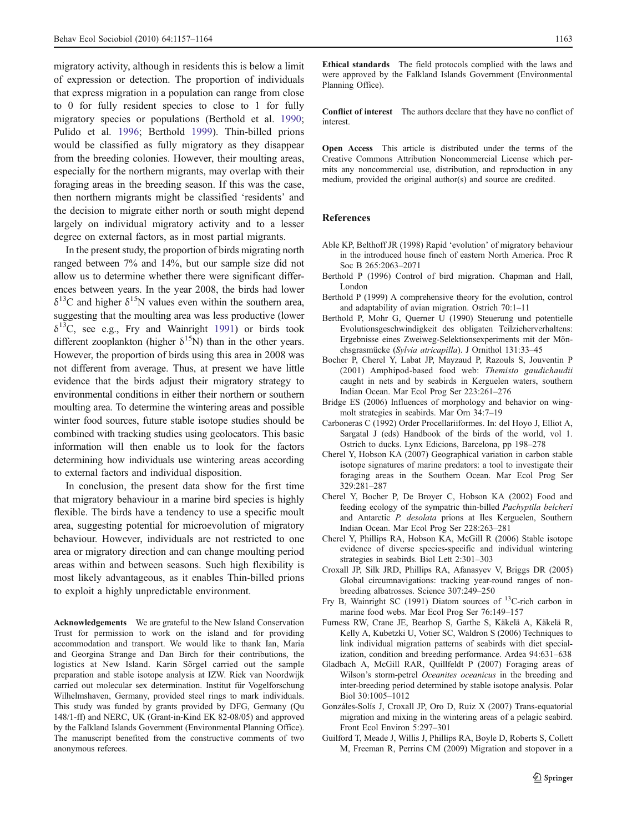<span id="page-6-0"></span>migratory activity, although in residents this is below a limit of expression or detection. The proportion of individuals that express migration in a population can range from close to 0 for fully resident species to close to 1 for fully migratory species or populations (Berthold et al. 1990; Pulido et al. [1996](#page-7-0); Berthold 1999). Thin-billed prions would be classified as fully migratory as they disappear from the breeding colonies. However, their moulting areas, especially for the northern migrants, may overlap with their foraging areas in the breeding season. If this was the case, then northern migrants might be classified 'residents' and the decision to migrate either north or south might depend largely on individual migratory activity and to a lesser degree on external factors, as in most partial migrants.

In the present study, the proportion of birds migrating north ranged between 7% and 14%, but our sample size did not allow us to determine whether there were significant differences between years. In the year 2008, the birds had lower  $\delta^{13}$ C and higher  $\delta^{15}$ N values even within the southern area, suggesting that the moulting area was less productive (lower  $\delta^{13}$ C, see e.g., Fry and Wainright 1991) or birds took different zooplankton (higher  $\delta^{15}N$ ) than in the other years. However, the proportion of birds using this area in 2008 was not different from average. Thus, at present we have little evidence that the birds adjust their migratory strategy to environmental conditions in either their northern or southern moulting area. To determine the wintering areas and possible winter food sources, future stable isotope studies should be combined with tracking studies using geolocators. This basic information will then enable us to look for the factors determining how individuals use wintering areas according to external factors and individual disposition.

In conclusion, the present data show for the first time that migratory behaviour in a marine bird species is highly flexible. The birds have a tendency to use a specific moult area, suggesting potential for microevolution of migratory behaviour. However, individuals are not restricted to one area or migratory direction and can change moulting period areas within and between seasons. Such high flexibility is most likely advantageous, as it enables Thin-billed prions to exploit a highly unpredictable environment.

Acknowledgements We are grateful to the New Island Conservation Trust for permission to work on the island and for providing accommodation and transport. We would like to thank Ian, Maria and Georgina Strange and Dan Birch for their contributions, the logistics at New Island. Karin Sörgel carried out the sample preparation and stable isotope analysis at IZW. Riek van Noordwijk carried out molecular sex determination. Institut für Vogelforschung Wilhelmshaven, Germany, provided steel rings to mark individuals. This study was funded by grants provided by DFG, Germany (Qu 148/1-ff) and NERC, UK (Grant-in-Kind EK 82-08/05) and approved by the Falkland Islands Government (Environmental Planning Office). The manuscript benefited from the constructive comments of two anonymous referees.

Ethical standards The field protocols complied with the laws and were approved by the Falkland Islands Government (Environmental Planning Office).

Conflict of interest The authors declare that they have no conflict of interest.

Open Access This article is distributed under the terms of the Creative Commons Attribution Noncommercial License which permits any noncommercial use, distribution, and reproduction in any medium, provided the original author(s) and source are credited.

#### References

- Able KP, Belthoff JR (1998) Rapid 'evolution' of migratory behaviour in the introduced house finch of eastern North America. Proc R Soc B 265:2063–2071
- Berthold P (1996) Control of bird migration. Chapman and Hall, London
- Berthold P (1999) A comprehensive theory for the evolution, control and adaptability of avian migration. Ostrich 70:1–11
- Berthold P, Mohr G, Querner U (1990) Steuerung und potentielle Evolutionsgeschwindigkeit des obligaten Teilzieherverhaltens: Ergebnisse eines Zweiweg-Selektionsexperiments mit der Mönchsgrasmücke (Sylvia atricapilla). J Ornithol 131:33–45
- Bocher P, Cherel Y, Labat JP, Mayzaud P, Razouls S, Jouventin P (2001) Amphipod-based food web: Themisto gaudichaudii caught in nets and by seabirds in Kerguelen waters, southern Indian Ocean. Mar Ecol Prog Ser 223:261–276
- Bridge ES (2006) Influences of morphology and behavior on wingmolt strategies in seabirds. Mar Orn 34:7–19
- Carboneras C (1992) Order Procellariiformes. In: del Hoyo J, Elliot A, Sargatal J (eds) Handbook of the birds of the world, vol 1. Ostrich to ducks. Lynx Edicions, Barcelona, pp 198–278
- Cherel Y, Hobson KA (2007) Geographical variation in carbon stable isotope signatures of marine predators: a tool to investigate their foraging areas in the Southern Ocean. Mar Ecol Prog Ser 329:281–287
- Cherel Y, Bocher P, De Broyer C, Hobson KA (2002) Food and feeding ecology of the sympatric thin-billed Pachyptila belcheri and Antarctic P. desolata prions at Iles Kerguelen, Southern Indian Ocean. Mar Ecol Prog Ser 228:263–281
- Cherel Y, Phillips RA, Hobson KA, McGill R (2006) Stable isotope evidence of diverse species-specific and individual wintering strategies in seabirds. Biol Lett 2:301–303
- Croxall JP, Silk JRD, Phillips RA, Afanasyev V, Briggs DR (2005) Global circumnavigations: tracking year-round ranges of nonbreeding albatrosses. Science 307:249–250
- Fry B, Wainright SC (1991) Diatom sources of <sup>13</sup>C-rich carbon in marine food webs. Mar Ecol Prog Ser 76:149–157
- Furness RW, Crane JE, Bearhop S, Garthe S, Käkelä A, Käkelä R, Kelly A, Kubetzki U, Votier SC, Waldron S (2006) Techniques to link individual migration patterns of seabirds with diet specialization, condition and breeding performance. Ardea 94:631–638
- Gladbach A, McGill RAR, Quillfeldt P (2007) Foraging areas of Wilson's storm-petrel *Oceanites oceanicus* in the breeding and inter-breeding period determined by stable isotope analysis. Polar Biol 30:1005–1012
- Gonzáles-Solís J, Croxall JP, Oro D, Ruiz X (2007) Trans-equatorial migration and mixing in the wintering areas of a pelagic seabird. Front Ecol Environ 5:297–301
- Guilford T, Meade J, Willis J, Phillips RA, Boyle D, Roberts S, Collett M, Freeman R, Perrins CM (2009) Migration and stopover in a